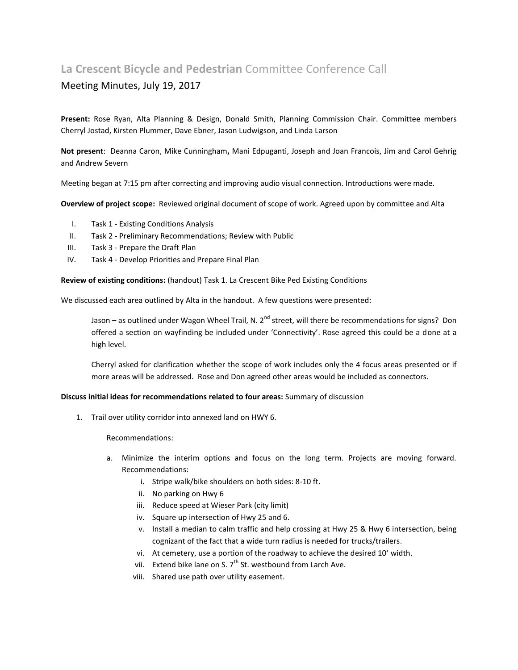## **La Crescent Bicycle and Pedestrian** Committee Conference Call

## Meeting Minutes, July 19, 2017

**Present:** Rose Ryan, Alta Planning & Design, Donald Smith, Planning Commission Chair. Committee members Cherryl Jostad, Kirsten Plummer, Dave Ebner, Jason Ludwigson, and Linda Larson

**Not present**: Deanna Caron, Mike Cunningham**,** Mani Edpuganti, Joseph and Joan Francois, Jim and Carol Gehrig and Andrew Severn

Meeting began at 7:15 pm after correcting and improving audio visual connection. Introductions were made.

**Overview of project scope:** Reviewed original document of scope of work. Agreed upon by committee and Alta

- I. Task 1 Existing Conditions Analysis
- II. Task 2 Preliminary Recommendations; Review with Public
- III. Task 3 Prepare the Draft Plan
- IV. Task 4 Develop Priorities and Prepare Final Plan

**Review of existing conditions:** (handout) Task 1. La Crescent Bike Ped Existing Conditions

We discussed each area outlined by Alta in the handout. A few questions were presented:

Jason – as outlined under Wagon Wheel Trail, N. 2<sup>nd</sup> street, will there be recommendations for signs? Don offered a section on wayfinding be included under 'Connectivity'. Rose agreed this could be a done at a high level.

Cherryl asked for clarification whether the scope of work includes only the 4 focus areas presented or if more areas will be addressed. Rose and Don agreed other areas would be included as connectors.

## **Discuss initial ideas for recommendations related to four areas:** Summary of discussion

1. Trail over utility corridor into annexed land on HWY 6.

Recommendations:

- a. Minimize the interim options and focus on the long term. Projects are moving forward. Recommendations:
	- i. Stripe walk/bike shoulders on both sides: 8-10 ft.
	- ii. No parking on Hwy 6
	- iii. Reduce speed at Wieser Park (city limit)
	- iv. Square up intersection of Hwy 25 and 6.
	- v. Install a median to calm traffic and help crossing at Hwy 25 & Hwy 6 intersection, being cognizant of the fact that a wide turn radius is needed for trucks/trailers.
	- vi. At cemetery, use a portion of the roadway to achieve the desired 10' width.
	- vii. Extend bike lane on S.  $7<sup>th</sup>$  St. westbound from Larch Ave.
	- viii. Shared use path over utility easement.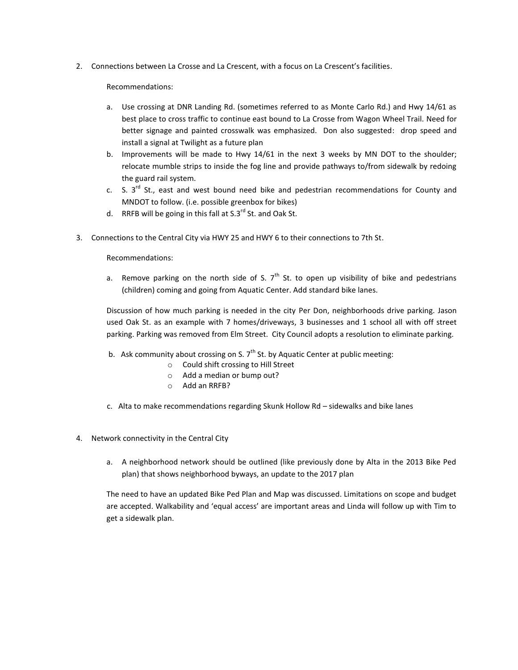2. Connections between La Crosse and La Crescent, with a focus on La Crescent's facilities.

Recommendations:

- a. Use crossing at DNR Landing Rd. (sometimes referred to as Monte Carlo Rd.) and Hwy 14/61 as best place to cross traffic to continue east bound to La Crosse from Wagon Wheel Trail. Need for better signage and painted crosswalk was emphasized. Don also suggested: drop speed and install a signal at Twilight as a future plan
- b. Improvements will be made to Hwy 14/61 in the next 3 weeks by MN DOT to the shoulder; relocate mumble strips to inside the fog line and provide pathways to/from sidewalk by redoing the guard rail system.
- c. S.  $3^{rd}$  St., east and west bound need bike and pedestrian recommendations for County and MNDOT to follow. (i.e. possible greenbox for bikes)
- d. RRFB will be going in this fall at  $S.3^{rd}$  St. and Oak St.
- 3. Connections to the Central City via HWY 25 and HWY 6 to their connections to 7th St.

Recommendations:

a. Remove parking on the north side of S.  $7<sup>th</sup>$  St. to open up visibility of bike and pedestrians (children) coming and going from Aquatic Center. Add standard bike lanes.

Discussion of how much parking is needed in the city Per Don, neighborhoods drive parking. Jason used Oak St. as an example with 7 homes/driveways, 3 businesses and 1 school all with off street parking. Parking was removed from Elm Street. City Council adopts a resolution to eliminate parking.

- b. Ask community about crossing on S.  $7<sup>th</sup>$  St. by Aquatic Center at public meeting:
	- o Could shift crossing to Hill Street
	- o Add a median or bump out?
	- o Add an RRFB?
- c. Alta to make recommendations regarding Skunk Hollow Rd sidewalks and bike lanes
- 4. Network connectivity in the Central City
	- a. A neighborhood network should be outlined (like previously done by Alta in the 2013 Bike Ped plan) that shows neighborhood byways, an update to the 2017 plan

The need to have an updated Bike Ped Plan and Map was discussed. Limitations on scope and budget are accepted. Walkability and 'equal access' are important areas and Linda will follow up with Tim to get a sidewalk plan.